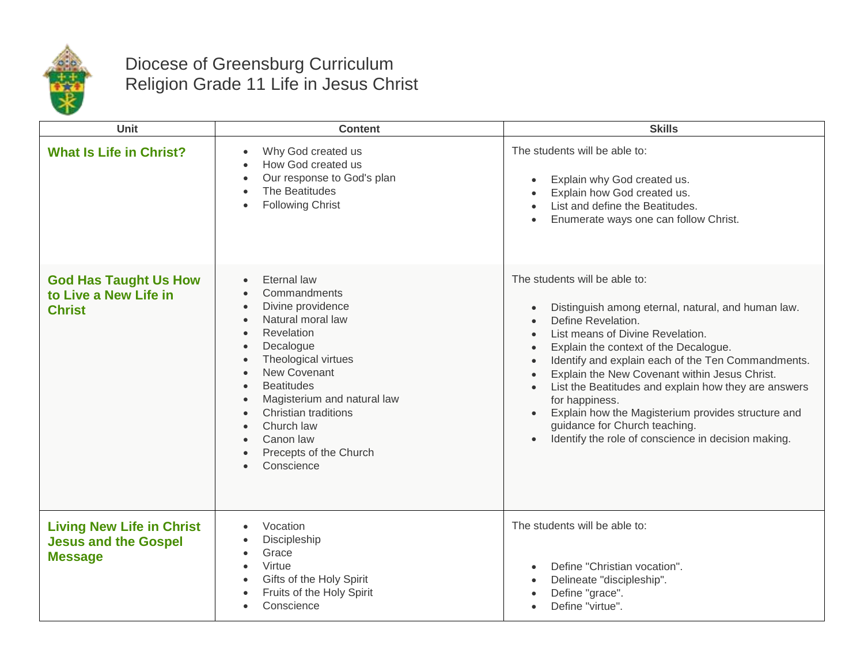

## Diocese of Greensburg Curriculum Religion Grade 11 Life in Jesus Christ

| Unit                                                                              | <b>Content</b>                                                                                                                                                                                                                                                                                             | <b>Skills</b>                                                                                                                                                                                                                                                                                                                                                                                                                                                                                                                                   |
|-----------------------------------------------------------------------------------|------------------------------------------------------------------------------------------------------------------------------------------------------------------------------------------------------------------------------------------------------------------------------------------------------------|-------------------------------------------------------------------------------------------------------------------------------------------------------------------------------------------------------------------------------------------------------------------------------------------------------------------------------------------------------------------------------------------------------------------------------------------------------------------------------------------------------------------------------------------------|
| <b>What Is Life in Christ?</b>                                                    | Why God created us<br>How God created us<br>Our response to God's plan<br>The Beatitudes<br><b>Following Christ</b><br>$\bullet$                                                                                                                                                                           | The students will be able to:<br>Explain why God created us.<br>$\bullet$<br>Explain how God created us.<br>List and define the Beatitudes.<br>Enumerate ways one can follow Christ.                                                                                                                                                                                                                                                                                                                                                            |
| <b>God Has Taught Us How</b><br>to Live a New Life in<br><b>Christ</b>            | Eternal law<br>Commandments<br>Divine providence<br>Natural moral law<br>Revelation<br>Decalogue<br>$\bullet$<br>Theological virtues<br><b>New Covenant</b><br><b>Beatitudes</b><br>Magisterium and natural law<br>Christian traditions<br>Church law<br>Canon law<br>Precepts of the Church<br>Conscience | The students will be able to:<br>Distinguish among eternal, natural, and human law.<br>Define Revelation.<br>$\bullet$<br>List means of Divine Revelation.<br>Explain the context of the Decalogue.<br>$\bullet$<br>Identify and explain each of the Ten Commandments.<br>Explain the New Covenant within Jesus Christ.<br>List the Beatitudes and explain how they are answers<br>for happiness.<br>Explain how the Magisterium provides structure and<br>guidance for Church teaching.<br>Identify the role of conscience in decision making. |
| <b>Living New Life in Christ</b><br><b>Jesus and the Gospel</b><br><b>Message</b> | Vocation<br>Discipleship<br>Grace<br>Virtue<br>Gifts of the Holy Spirit<br>Fruits of the Holy Spirit<br>Conscience                                                                                                                                                                                         | The students will be able to:<br>Define "Christian vocation".<br>$\bullet$<br>Delineate "discipleship".<br>Define "grace".<br>Define "virtue".                                                                                                                                                                                                                                                                                                                                                                                                  |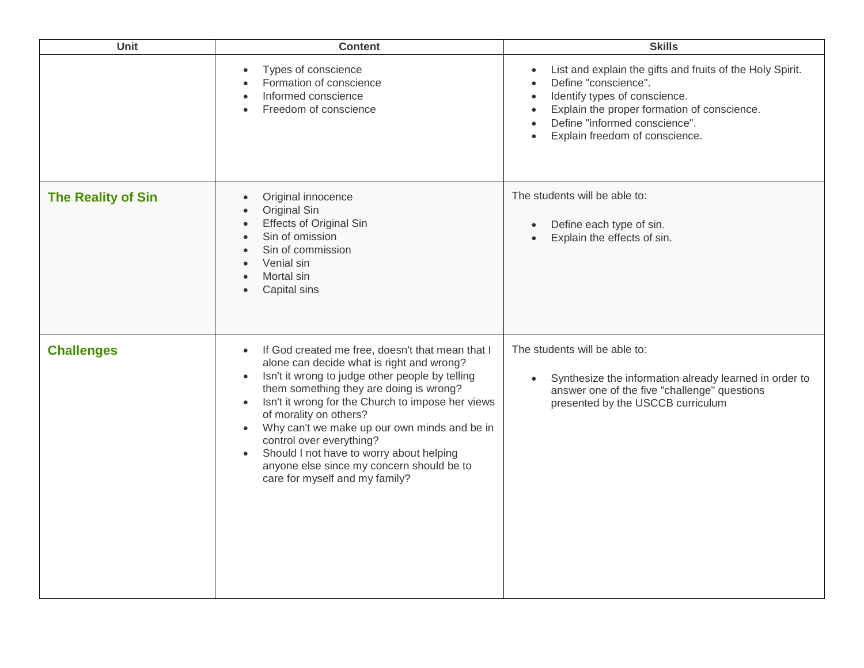| Unit                      | <b>Content</b>                                                                                                                                                                                                                                                                                                                                                                                                                                                                                                                                     | <b>Skills</b>                                                                                                                                                                                                                                     |
|---------------------------|----------------------------------------------------------------------------------------------------------------------------------------------------------------------------------------------------------------------------------------------------------------------------------------------------------------------------------------------------------------------------------------------------------------------------------------------------------------------------------------------------------------------------------------------------|---------------------------------------------------------------------------------------------------------------------------------------------------------------------------------------------------------------------------------------------------|
|                           | Types of conscience<br>Formation of conscience<br>Informed conscience<br>Freedom of conscience                                                                                                                                                                                                                                                                                                                                                                                                                                                     | List and explain the gifts and fruits of the Holy Spirit.<br>$\bullet$<br>Define "conscience".<br>Identify types of conscience.<br>Explain the proper formation of conscience.<br>Define "informed conscience".<br>Explain freedom of conscience. |
| <b>The Reality of Sin</b> | Original innocence<br>$\bullet$<br>Original Sin<br><b>Effects of Original Sin</b><br>$\bullet$<br>Sin of omission<br>Sin of commission<br>Venial sin<br>Mortal sin<br>Capital sins                                                                                                                                                                                                                                                                                                                                                                 | The students will be able to:<br>Define each type of sin.<br>$\bullet$<br>Explain the effects of sin.                                                                                                                                             |
| <b>Challenges</b>         | If God created me free, doesn't that mean that I<br>$\bullet$<br>alone can decide what is right and wrong?<br>Isn't it wrong to judge other people by telling<br>$\bullet$<br>them something they are doing is wrong?<br>Isn't it wrong for the Church to impose her views<br>$\bullet$<br>of morality on others?<br>Why can't we make up our own minds and be in<br>$\bullet$<br>control over everything?<br>Should I not have to worry about helping<br>$\bullet$<br>anyone else since my concern should be to<br>care for myself and my family? | The students will be able to:<br>Synthesize the information already learned in order to<br>$\bullet$<br>answer one of the five "challenge" questions<br>presented by the USCCB curriculum                                                         |